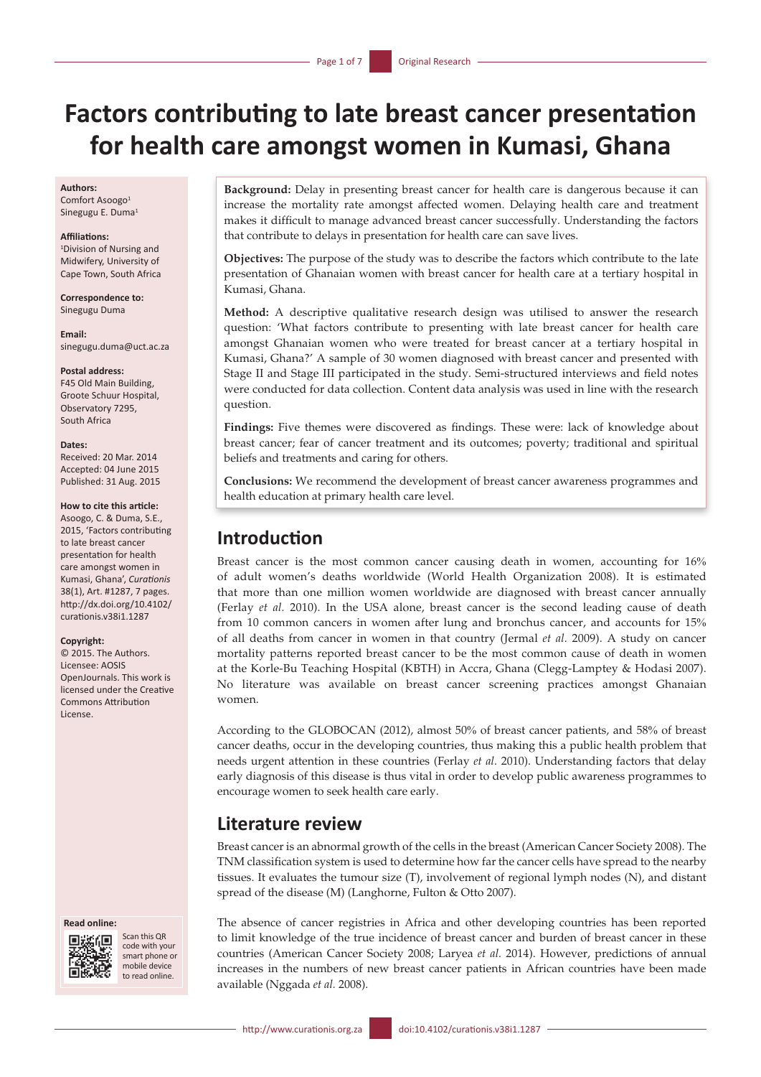# **Factors contributing to late breast cancer presentation for health care amongst women in Kumasi, Ghana**

#### **Authors:**

Comfort Asoogo<sup>1</sup> Sinegugu E. Duma<sup>1</sup>

#### **Affiliations:**

1 Division of Nursing and Midwifery, University of Cape Town, South Africa

**Correspondence to:** Sinegugu Duma

**Email:** [sinegugu.duma@uct.ac.za](mailto:sinegugu.duma@uct.ac.za)

#### **Postal address:**

F45 Old Main Building, Groote Schuur Hospital, Observatory 7295, South Africa

#### **Dates:**

Received: 20 Mar. 2014 Accepted: 04 June 2015 Published: 31 Aug. 2015

#### **How to cite this article:**

Asoogo, C. & Duma, S.E., 2015, 'Factors contributing to late breast cancer presentation for health care amongst women in Kumasi, Ghana', *Curationis* 38(1), Art. #1287, 7 pages. [http://dx.doi.org/10.4102/](http://dx.doi.org/10.4102/curationis.v38i1.1287) [curationis.v38i1.1287](http://dx.doi.org/10.4102/curationis.v38i1.1287)

#### **Copyright:**

© 2015. The Authors. Licensee: AOSIS OpenJournals. This work is licensed under the Creative Commons Attribution License.

#### **Read online:**



Scan this QR code with your smart phone or mobile device to read online.

**Background:** Delay in presenting breast cancer for health care is dangerous because it can increase the mortality rate amongst affected women. Delaying health care and treatment makes it difficult to manage advanced breast cancer successfully. Understanding the factors that contribute to delays in presentation for health care can save lives.

**Objectives:** The purpose of the study was to describe the factors which contribute to the late presentation of Ghanaian women with breast cancer for health care at a tertiary hospital in Kumasi, Ghana.

**Method:** A descriptive qualitative research design was utilised to answer the research question: 'What factors contribute to presenting with late breast cancer for health care amongst Ghanaian women who were treated for breast cancer at a tertiary hospital in Kumasi, Ghana?' A sample of 30 women diagnosed with breast cancer and presented with Stage II and Stage III participated in the study. Semi-structured interviews and field notes were conducted for data collection. Content data analysis was used in line with the research question.

**Findings:** Five themes were discovered as findings. These were: lack of knowledge about breast cancer; fear of cancer treatment and its outcomes; poverty; traditional and spiritual beliefs and treatments and caring for others.

**Conclusions:** We recommend the development of breast cancer awareness programmes and health education at primary health care level.

# **Introduction**

Breast cancer is the most common cancer causing death in women, accounting for 16% of adult women's deaths worldwide (World Health Organization 2008). It is estimated that more than one million women worldwide are diagnosed with breast cancer annually (Ferlay *et al.* 2010). In the USA alone, breast cancer is the second leading cause of death from 10 common cancers in women after lung and bronchus cancer, and accounts for 15% of all deaths from cancer in women in that country (Jermal *et al.* 2009). A study on cancer mortality patterns reported breast cancer to be the most common cause of death in women at the Korle-Bu Teaching Hospital (KBTH) in Accra, Ghana (Clegg-Lamptey & Hodasi 2007). No literature was available on breast cancer screening practices amongst Ghanaian women.

According to the GLOBOCAN (2012), almost 50% of breast cancer patients, and 58% of breast cancer deaths, occur in the developing countries, thus making this a public health problem that needs urgent attention in these countries (Ferlay *et al*. 2010). Understanding factors that delay early diagnosis of this disease is thus vital in order to develop public awareness programmes to encourage women to seek health care early.

### **Literature review**

Breast cancer is an abnormal growth of the cells in the breast (American Cancer Society 2008). The TNM classification system is used to determine how far the cancer cells have spread to the nearby tissues. It evaluates the tumour size (T), involvement of regional lymph nodes (N), and distant spread of the disease (M) (Langhorne, Fulton & Otto 2007).

The absence of cancer registries in Africa and other developing countries has been reported to limit knowledge of the true incidence of breast cancer and burden of breast cancer in these countries (American Cancer Society 2008; Laryea *et al.* 2014). However, predictions of annual increases in the numbers of new breast cancer patients in African countries have been made available (Nggada *et al.* 2008).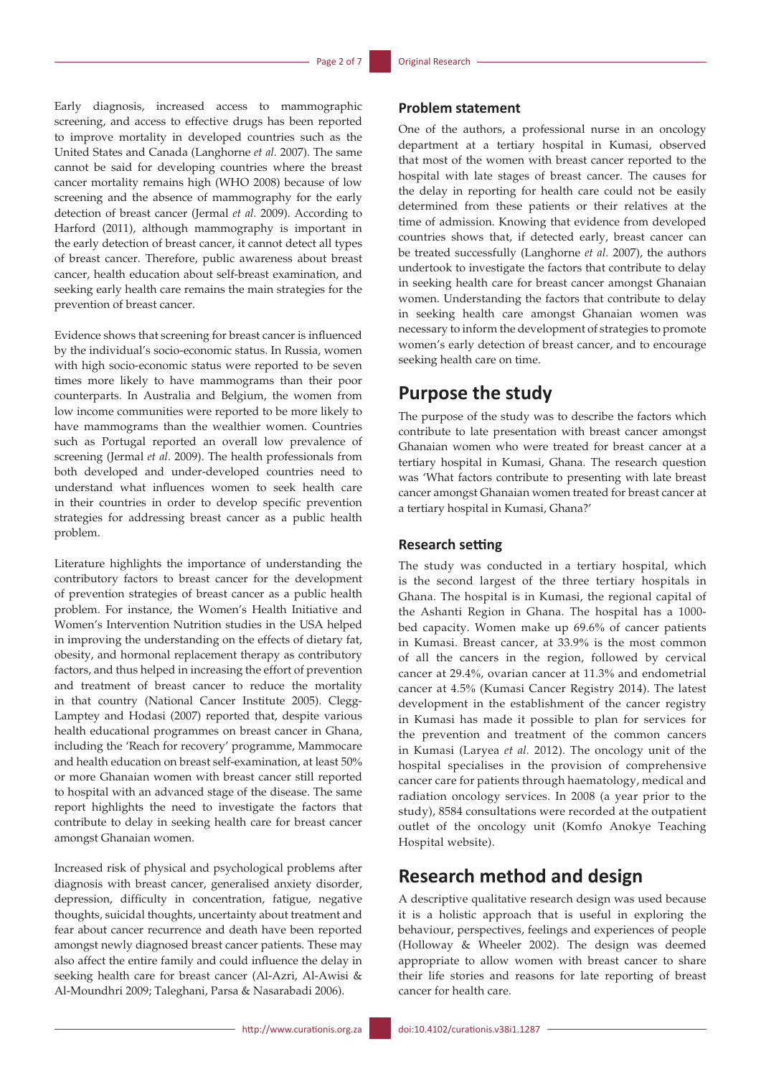Early diagnosis, increased access to mammographic screening, and access to effective drugs has been reported to improve mortality in developed countries such as the United States and Canada (Langhorne *et al.* 2007). The same cannot be said for developing countries where the breast cancer mortality remains high (WHO 2008) because of low screening and the absence of mammography for the early detection of breast cancer (Jermal *et al.* 2009). According to Harford (2011), although mammography is important in the early detection of breast cancer, it cannot detect all types of breast cancer. Therefore, public awareness about breast cancer, health education about self-breast examination, and seeking early health care remains the main strategies for the prevention of breast cancer.

Evidence shows that screening for breast cancer is influenced by the individual's socio-economic status. In Russia, women with high socio-economic status were reported to be seven times more likely to have mammograms than their poor counterparts. In Australia and Belgium, the women from low income communities were reported to be more likely to have mammograms than the wealthier women. Countries such as Portugal reported an overall low prevalence of screening (Jermal *et al*. 2009). The health professionals from both developed and under-developed countries need to understand what influences women to seek health care in their countries in order to develop specific prevention strategies for addressing breast cancer as a public health problem.

Literature highlights the importance of understanding the contributory factors to breast cancer for the development of prevention strategies of breast cancer as a public health problem. For instance, the Women's Health Initiative and Women's Intervention Nutrition studies in the USA helped in improving the understanding on the effects of dietary fat, obesity, and hormonal replacement therapy as contributory factors, and thus helped in increasing the effort of prevention and treatment of breast cancer to reduce the mortality in that country (National Cancer Institute 2005). Clegg-Lamptey and Hodasi (2007) reported that, despite various health educational programmes on breast cancer in Ghana, including the 'Reach for recovery' programme, Mammocare and health education on breast self-examination, at least 50% or more Ghanaian women with breast cancer still reported to hospital with an advanced stage of the disease. The same report highlights the need to investigate the factors that contribute to delay in seeking health care for breast cancer amongst Ghanaian women.

Increased risk of physical and psychological problems after diagnosis with breast cancer, generalised anxiety disorder, depression, difficulty in concentration, fatigue, negative thoughts, suicidal thoughts, uncertainty about treatment and fear about cancer recurrence and death have been reported amongst newly diagnosed breast cancer patients. These may also affect the entire family and could influence the delay in seeking health care for breast cancer (Al-Azri, Al-Awisi & Al-Moundhri 2009; Taleghani, Parsa & Nasarabadi 2006).

### **Problem statement**

One of the authors, a professional nurse in an oncology department at a tertiary hospital in Kumasi, observed that most of the women with breast cancer reported to the hospital with late stages of breast cancer. The causes for the delay in reporting for health care could not be easily determined from these patients or their relatives at the time of admission. Knowing that evidence from developed countries shows that, if detected early, breast cancer can be treated successfully (Langhorne *et al.* 2007), the authors undertook to investigate the factors that contribute to delay in seeking health care for breast cancer amongst Ghanaian women. Understanding the factors that contribute to delay in seeking health care amongst Ghanaian women was necessary to inform the development of strategies to promote women's early detection of breast cancer, and to encourage seeking health care on time.

### **Purpose the study**

The purpose of the study was to describe the factors which contribute to late presentation with breast cancer amongst Ghanaian women who were treated for breast cancer at a tertiary hospital in Kumasi, Ghana. The research question was 'What factors contribute to presenting with late breast cancer amongst Ghanaian women treated for breast cancer at a tertiary hospital in Kumasi, Ghana?'

#### **Research setting**

The study was conducted in a tertiary hospital, which is the second largest of the three tertiary hospitals in Ghana. The hospital is in Kumasi, the regional capital of the Ashanti Region in Ghana. The hospital has a 1000 bed capacity. Women make up 69.6% of cancer patients in Kumasi. Breast cancer, at 33.9% is the most common of all the cancers in the region, followed by cervical cancer at 29.4%, ovarian cancer at 11.3% and endometrial cancer at 4.5% (Kumasi Cancer Registry 2014). The latest development in the establishment of the cancer registry in Kumasi has made it possible to plan for services for the prevention and treatment of the common cancers in Kumasi (Laryea *et al.* 2012). The oncology unit of the hospital specialises in the provision of comprehensive cancer care for patients through haematology, medical and radiation oncology services. In 2008 (a year prior to the study), 8584 consultations were recorded at the outpatient outlet of the oncology unit (Komfo Anokye Teaching Hospital website).

# **Research method and design**

A descriptive qualitative research design was used because it is a holistic approach that is useful in exploring the behaviour, perspectives, feelings and experiences of people (Holloway & Wheeler 2002). The design was deemed appropriate to allow women with breast cancer to share their life stories and reasons for late reporting of breast cancer for health care.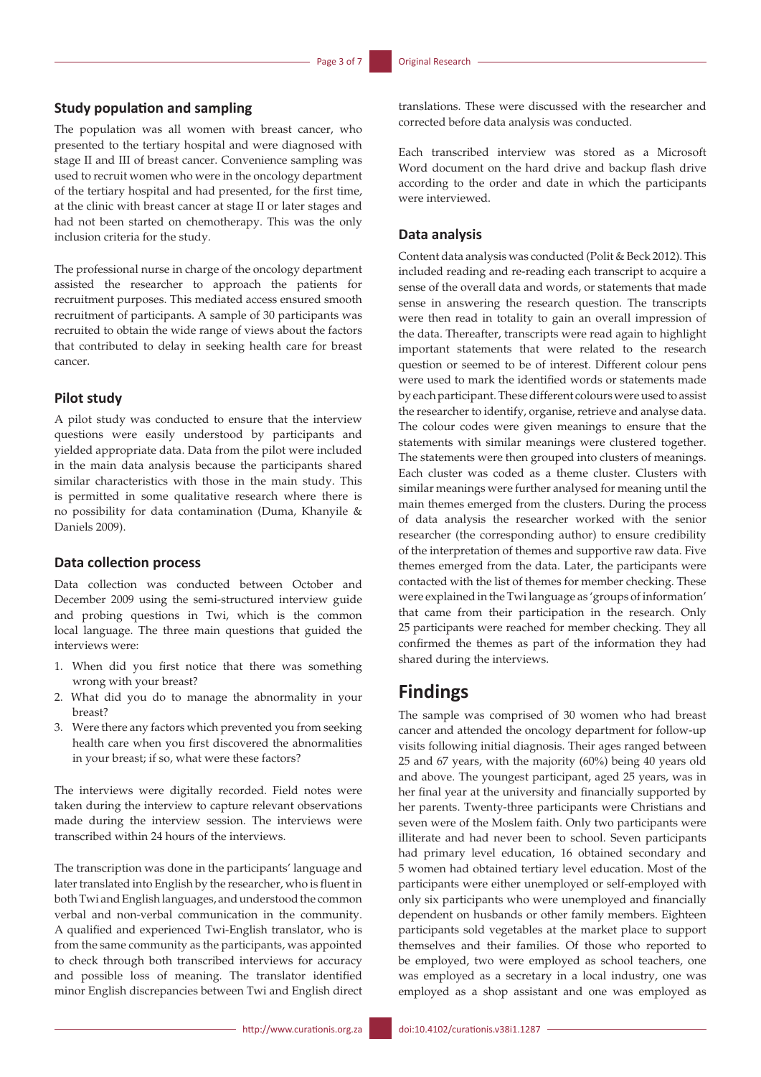### **Study population and sampling**

The population was all women with breast cancer, who presented to the tertiary hospital and were diagnosed with stage II and III of breast cancer. Convenience sampling was used to recruit women who were in the oncology department of the tertiary hospital and had presented, for the first time, at the clinic with breast cancer at stage II or later stages and had not been started on chemotherapy. This was the only inclusion criteria for the study.

The professional nurse in charge of the oncology department assisted the researcher to approach the patients for recruitment purposes. This mediated access ensured smooth recruitment of participants. A sample of 30 participants was recruited to obtain the wide range of views about the factors that contributed to delay in seeking health care for breast cancer.

#### **Pilot study**

A pilot study was conducted to ensure that the interview questions were easily understood by participants and yielded appropriate data. Data from the pilot were included in the main data analysis because the participants shared similar characteristics with those in the main study. This is permitted in some qualitative research where there is no possibility for data contamination (Duma, Khanyile & Daniels 2009).

#### **Data collection process**

Data collection was conducted between October and December 2009 using the semi-structured interview guide and probing questions in Twi, which is the common local language. The three main questions that guided the interviews were:

- 1. When did you first notice that there was something wrong with your breast?
- 2. What did you do to manage the abnormality in your breast?
- 3. Were there any factors which prevented you from seeking health care when you first discovered the abnormalities in your breast; if so, what were these factors?

The interviews were digitally recorded. Field notes were taken during the interview to capture relevant observations made during the interview session. The interviews were transcribed within 24 hours of the interviews.

The transcription was done in the participants' language and later translated into English by the researcher, who is fluent in both Twi and English languages, and understood the common verbal and non-verbal communication in the community. A qualified and experienced Twi-English translator, who is from the same community as the participants, was appointed to check through both transcribed interviews for accuracy and possible loss of meaning. The translator identified minor English discrepancies between Twi and English direct

translations. These were discussed with the researcher and corrected before data analysis was conducted.

Each transcribed interview was stored as a Microsoft Word document on the hard drive and backup flash drive according to the order and date in which the participants were interviewed.

### **Data analysis**

Content data analysis was conducted (Polit & Beck 2012). This included reading and re-reading each transcript to acquire a sense of the overall data and words, or statements that made sense in answering the research question. The transcripts were then read in totality to gain an overall impression of the data. Thereafter, transcripts were read again to highlight important statements that were related to the research question or seemed to be of interest. Different colour pens were used to mark the identified words or statements made by each participant. These different colours were used to assist the researcher to identify, organise, retrieve and analyse data. The colour codes were given meanings to ensure that the statements with similar meanings were clustered together. The statements were then grouped into clusters of meanings. Each cluster was coded as a theme cluster. Clusters with similar meanings were further analysed for meaning until the main themes emerged from the clusters. During the process of data analysis the researcher worked with the senior researcher (the corresponding author) to ensure credibility of the interpretation of themes and supportive raw data. Five themes emerged from the data. Later, the participants were contacted with the list of themes for member checking. These were explained in the Twi language as 'groups of information' that came from their participation in the research. Only 25 participants were reached for member checking. They all confirmed the themes as part of the information they had shared during the interviews.

### **Findings**

The sample was comprised of 30 women who had breast cancer and attended the oncology department for follow-up visits following initial diagnosis. Their ages ranged between 25 and 67 years, with the majority (60%) being 40 years old and above. The youngest participant, aged 25 years, was in her final year at the university and financially supported by her parents. Twenty-three participants were Christians and seven were of the Moslem faith. Only two participants were illiterate and had never been to school. Seven participants had primary level education, 16 obtained secondary and 5 women had obtained tertiary level education. Most of the participants were either unemployed or self-employed with only six participants who were unemployed and financially dependent on husbands or other family members. Eighteen participants sold vegetables at the market place to support themselves and their families. Of those who reported to be employed, two were employed as school teachers, one was employed as a secretary in a local industry, one was employed as a shop assistant and one was employed as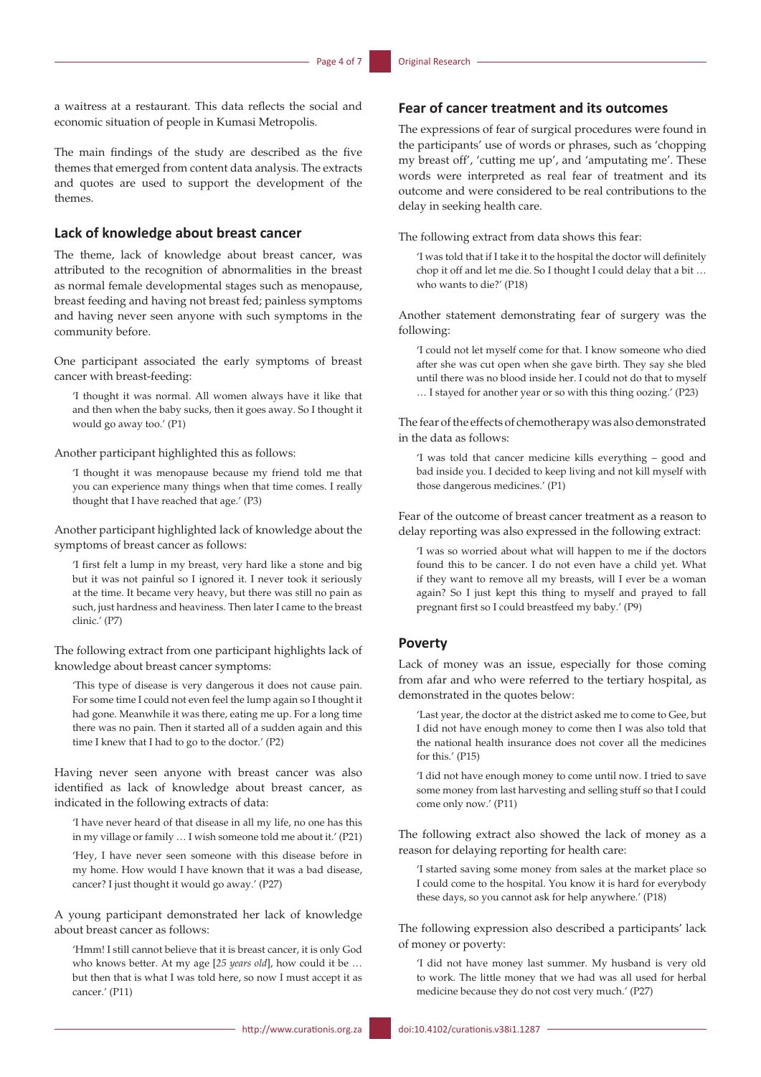a waitress at a restaurant. This data reflects the social and economic situation of people in Kumasi Metropolis.

The main findings of the study are described as the five themes that emerged from content data analysis. The extracts and quotes are used to support the development of the themes.

### **Lack of knowledge about breast cancer**

The theme, lack of knowledge about breast cancer, was attributed to the recognition of abnormalities in the breast as normal female developmental stages such as menopause, breast feeding and having not breast fed; painless symptoms and having never seen anyone with such symptoms in the community before.

One participant associated the early symptoms of breast cancer with breast-feeding:

'I thought it was normal. All women always have it like that and then when the baby sucks, then it goes away. So I thought it would go away too.' (P1)

Another participant highlighted this as follows:

'I thought it was menopause because my friend told me that you can experience many things when that time comes. I really thought that I have reached that age.' (P3)

Another participant highlighted lack of knowledge about the symptoms of breast cancer as follows:

'I first felt a lump in my breast, very hard like a stone and big but it was not painful so I ignored it. I never took it seriously at the time. It became very heavy, but there was still no pain as such, just hardness and heaviness. Then later I came to the breast clinic.' (P7)

The following extract from one participant highlights lack of knowledge about breast cancer symptoms:

'This type of disease is very dangerous it does not cause pain. For some time I could not even feel the lump again so I thought it had gone. Meanwhile it was there, eating me up. For a long time there was no pain. Then it started all of a sudden again and this time I knew that I had to go to the doctor.' (P2)

Having never seen anyone with breast cancer was also identified as lack of knowledge about breast cancer, as indicated in the following extracts of data:

'I have never heard of that disease in all my life, no one has this in my village or family … I wish someone told me about it.' (P21)

'Hey, I have never seen someone with this disease before in my home. How would I have known that it was a bad disease, cancer? I just thought it would go away.' (P27)

A young participant demonstrated her lack of knowledge about breast cancer as follows:

'Hmm! I still cannot believe that it is breast cancer, it is only God who knows better. At my age [*25 years old*], how could it be … but then that is what I was told here, so now I must accept it as cancer.' (P11)

### **Fear of cancer treatment and its outcomes**

The expressions of fear of surgical procedures were found in the participants' use of words or phrases, such as 'chopping my breast off', 'cutting me up', and 'amputating me'. These words were interpreted as real fear of treatment and its outcome and were considered to be real contributions to the delay in seeking health care.

The following extract from data shows this fear:

'I was told that if I take it to the hospital the doctor will definitely chop it off and let me die. So I thought I could delay that a bit … who wants to die?' (P18)

Another statement demonstrating fear of surgery was the following:

'I could not let myself come for that. I know someone who died after she was cut open when she gave birth. They say she bled until there was no blood inside her. I could not do that to myself … I stayed for another year or so with this thing oozing.' (P23)

The fear of the effects of chemotherapy was also demonstrated in the data as follows:

'I was told that cancer medicine kills everything – good and bad inside you. I decided to keep living and not kill myself with those dangerous medicines.' (P1)

Fear of the outcome of breast cancer treatment as a reason to delay reporting was also expressed in the following extract:

'I was so worried about what will happen to me if the doctors found this to be cancer. I do not even have a child yet. What if they want to remove all my breasts, will I ever be a woman again? So I just kept this thing to myself and prayed to fall pregnant first so I could breastfeed my baby.' (P9)

### **Poverty**

Lack of money was an issue, especially for those coming from afar and who were referred to the tertiary hospital, as demonstrated in the quotes below:

'Last year, the doctor at the district asked me to come to Gee, but I did not have enough money to come then I was also told that the national health insurance does not cover all the medicines for this.' (P15)

'I did not have enough money to come until now. I tried to save some money from last harvesting and selling stuff so that I could come only now.' (P11)

The following extract also showed the lack of money as a reason for delaying reporting for health care:

'I started saving some money from sales at the market place so I could come to the hospital. You know it is hard for everybody these days, so you cannot ask for help anywhere.' (P18)

The following expression also described a participants' lack of money or poverty:

'I did not have money last summer. My husband is very old to work. The little money that we had was all used for herbal medicine because they do not cost very much.' (P27)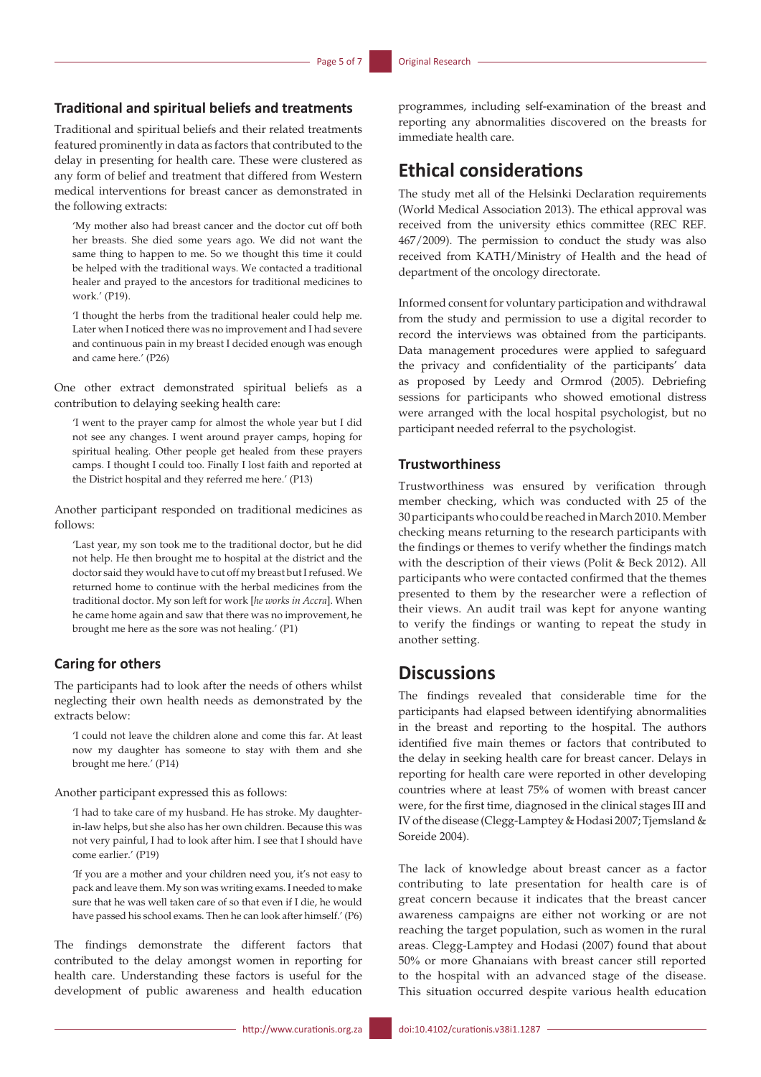### **Traditional and spiritual beliefs and treatments**

Traditional and spiritual beliefs and their related treatments featured prominently in data as factors that contributed to the delay in presenting for health care. These were clustered as any form of belief and treatment that differed from Western medical interventions for breast cancer as demonstrated in the following extracts:

'My mother also had breast cancer and the doctor cut off both her breasts. She died some years ago. We did not want the same thing to happen to me. So we thought this time it could be helped with the traditional ways. We contacted a traditional healer and prayed to the ancestors for traditional medicines to work.' (P19).

'I thought the herbs from the traditional healer could help me. Later when I noticed there was no improvement and I had severe and continuous pain in my breast I decided enough was enough and came here.' (P26)

One other extract demonstrated spiritual beliefs as a contribution to delaying seeking health care:

'I went to the prayer camp for almost the whole year but I did not see any changes. I went around prayer camps, hoping for spiritual healing. Other people get healed from these prayers camps. I thought I could too. Finally I lost faith and reported at the District hospital and they referred me here.' (P13)

Another participant responded on traditional medicines as follows:

'Last year, my son took me to the traditional doctor, but he did not help. He then brought me to hospital at the district and the doctor said they would have to cut off my breast but I refused. We returned home to continue with the herbal medicines from the traditional doctor. My son left for work [*he works in Accra*]. When he came home again and saw that there was no improvement, he brought me here as the sore was not healing.' (P1)

### **Caring for others**

The participants had to look after the needs of others whilst neglecting their own health needs as demonstrated by the extracts below:

'I could not leave the children alone and come this far. At least now my daughter has someone to stay with them and she brought me here.' (P14)

Another participant expressed this as follows:

'I had to take care of my husband. He has stroke. My daughterin-law helps, but she also has her own children. Because this was not very painful, I had to look after him. I see that I should have come earlier.' (P19)

'If you are a mother and your children need you, it's not easy to pack and leave them. My son was writing exams. I needed to make sure that he was well taken care of so that even if I die, he would have passed his school exams. Then he can look after himself.' (P6)

The findings demonstrate the different factors that contributed to the delay amongst women in reporting for health care. Understanding these factors is useful for the development of public awareness and health education

programmes, including self-examination of the breast and reporting any abnormalities discovered on the breasts for immediate health care.

# **Ethical considerations**

The study met all of the Helsinki Declaration requirements (World Medical Association 2013). The ethical approval was received from the university ethics committee (REC REF. 467/2009). The permission to conduct the study was also received from KATH/Ministry of Health and the head of department of the oncology directorate.

Informed consent for voluntary participation and withdrawal from the study and permission to use a digital recorder to record the interviews was obtained from the participants. Data management procedures were applied to safeguard the privacy and confidentiality of the participants' data as proposed by Leedy and Ormrod (2005). Debriefing sessions for participants who showed emotional distress were arranged with the local hospital psychologist, but no participant needed referral to the psychologist.

#### **Trustworthiness**

Trustworthiness was ensured by verification through member checking, which was conducted with 25 of the 30 participants who could be reached in March 2010. Member checking means returning to the research participants with the findings or themes to verify whether the findings match with the description of their views (Polit & Beck 2012). All participants who were contacted confirmed that the themes presented to them by the researcher were a reflection of their views. An audit trail was kept for anyone wanting to verify the findings or wanting to repeat the study in another setting.

# **Discussions**

The findings revealed that considerable time for the participants had elapsed between identifying abnormalities in the breast and reporting to the hospital. The authors identified five main themes or factors that contributed to the delay in seeking health care for breast cancer. Delays in reporting for health care were reported in other developing countries where at least 75% of women with breast cancer were, for the first time, diagnosed in the clinical stages III and IV of the disease (Clegg-Lamptey & Hodasi 2007; Tjemsland & Soreide 2004).

The lack of knowledge about breast cancer as a factor contributing to late presentation for health care is of great concern because it indicates that the breast cancer awareness campaigns are either not working or are not reaching the target population, such as women in the rural areas. Clegg-Lamptey and Hodasi (2007) found that about 50% or more Ghanaians with breast cancer still reported to the hospital with an advanced stage of the disease. This situation occurred despite various health education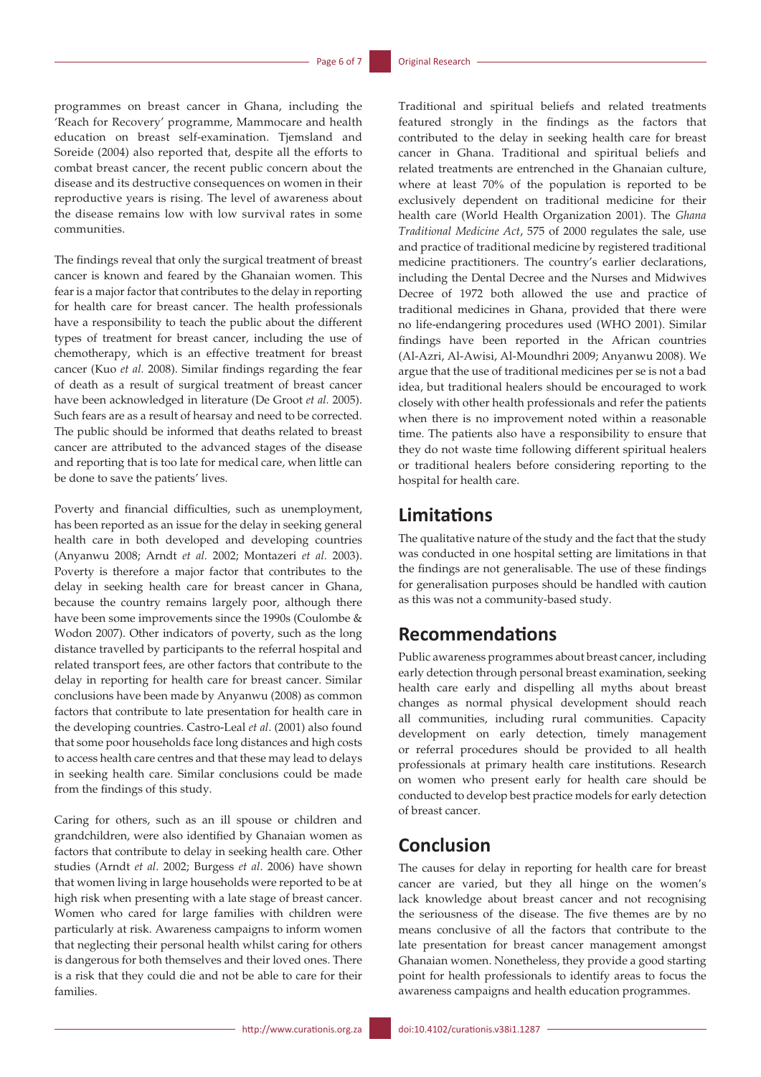programmes on breast cancer in Ghana, including the 'Reach for Recovery' programme, Mammocare and health education on breast self-examination. Tjemsland and Soreide (2004) also reported that, despite all the efforts to combat breast cancer, the recent public concern about the disease and its destructive consequences on women in their reproductive years is rising. The level of awareness about the disease remains low with low survival rates in some communities.

The findings reveal that only the surgical treatment of breast cancer is known and feared by the Ghanaian women. This fear is a major factor that contributes to the delay in reporting for health care for breast cancer. The health professionals have a responsibility to teach the public about the different types of treatment for breast cancer, including the use of chemotherapy, which is an effective treatment for breast cancer (Kuo *et al.* 2008). Similar findings regarding the fear of death as a result of surgical treatment of breast cancer have been acknowledged in literature (De Groot *et al.* 2005). Such fears are as a result of hearsay and need to be corrected. The public should be informed that deaths related to breast cancer are attributed to the advanced stages of the disease and reporting that is too late for medical care, when little can be done to save the patients' lives.

Poverty and financial difficulties, such as unemployment, has been reported as an issue for the delay in seeking general health care in both developed and developing countries (Anyanwu 2008; Arndt *et al.* 2002; Montazeri *et al.* 2003). Poverty is therefore a major factor that contributes to the delay in seeking health care for breast cancer in Ghana, because the country remains largely poor, although there have been some improvements since the 1990s (Coulombe & Wodon 2007). Other indicators of poverty, such as the long distance travelled by participants to the referral hospital and related transport fees, are other factors that contribute to the delay in reporting for health care for breast cancer. Similar conclusions have been made by Anyanwu (2008) as common factors that contribute to late presentation for health care in the developing countries. Castro-Leal *et al*. (2001) also found that some poor households face long distances and high costs to access health care centres and that these may lead to delays in seeking health care. Similar conclusions could be made from the findings of this study.

Caring for others, such as an ill spouse or children and grandchildren, were also identified by Ghanaian women as factors that contribute to delay in seeking health care. Other studies (Arndt *et al*. 2002; Burgess *et al*. 2006) have shown that women living in large households were reported to be at high risk when presenting with a late stage of breast cancer. Women who cared for large families with children were particularly at risk. Awareness campaigns to inform women that neglecting their personal health whilst caring for others is dangerous for both themselves and their loved ones. There is a risk that they could die and not be able to care for their families.

Traditional and spiritual beliefs and related treatments featured strongly in the findings as the factors that contributed to the delay in seeking health care for breast cancer in Ghana. Traditional and spiritual beliefs and related treatments are entrenched in the Ghanaian culture, where at least 70% of the population is reported to be exclusively dependent on traditional medicine for their health care (World Health Organization 2001). The *Ghana Traditional Medicine Act*, 575 of 2000 regulates the sale, use and practice of traditional medicine by registered traditional medicine practitioners. The country's earlier declarations, including the Dental Decree and the Nurses and Midwives Decree of 1972 both allowed the use and practice of traditional medicines in Ghana, provided that there were no life-endangering procedures used (WHO 2001). Similar findings have been reported in the African countries (Al-Azri, Al-Awisi, Al-Moundhri 2009; Anyanwu 2008). We argue that the use of traditional medicines per se is not a bad idea, but traditional healers should be encouraged to work closely with other health professionals and refer the patients when there is no improvement noted within a reasonable time. The patients also have a responsibility to ensure that they do not waste time following different spiritual healers or traditional healers before considering reporting to the hospital for health care.

# **Limitations**

The qualitative nature of the study and the fact that the study was conducted in one hospital setting are limitations in that the findings are not generalisable. The use of these findings for generalisation purposes should be handled with caution as this was not a community-based study.

# **Recommendations**

Public awareness programmes about breast cancer, including early detection through personal breast examination, seeking health care early and dispelling all myths about breast changes as normal physical development should reach all communities, including rural communities. Capacity development on early detection, timely management or referral procedures should be provided to all health professionals at primary health care institutions. Research on women who present early for health care should be conducted to develop best practice models for early detection of breast cancer.

### **Conclusion**

The causes for delay in reporting for health care for breast cancer are varied, but they all hinge on the women's lack knowledge about breast cancer and not recognising the seriousness of the disease. The five themes are by no means conclusive of all the factors that contribute to the late presentation for breast cancer management amongst Ghanaian women. Nonetheless, they provide a good starting point for health professionals to identify areas to focus the awareness campaigns and health education programmes.